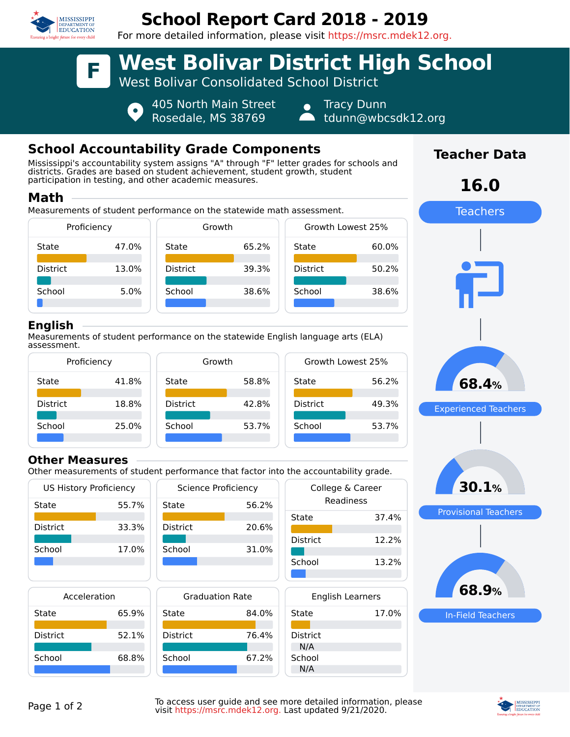

# **School Report Card 2018 - 2019**

For more detailed information, please visit https://msrc.mdek12.org.



405 North Main Street Rosedale, MS 38769

Tracy Dunn

tdunn@wbcsdk12.org

## **School Accountability Grade Components**

 $\bullet$ 

Mississippi's accountability system assigns "A" through "F" letter grades for schools and districts. Grades are based on student achievement, student growth, student participation in testing, and other academic measures.

### **Math**

Measurements of student performance on the statewide math assessment.



#### **English**

Measurements of student performance on the statewide English language arts (ELA) assessment.



#### **Other Measures**

Other measurements of student performance that factor into the accountability grade.

| <b>US History Proficiency</b> |       | <b>Science Proficiency</b> |       | College & Career        |       |
|-------------------------------|-------|----------------------------|-------|-------------------------|-------|
| State                         | 55.7% | State                      | 56.2% | Readiness               |       |
|                               |       |                            |       | State                   | 37.4% |
| <b>District</b>               | 33.3% | <b>District</b>            | 20.6% |                         |       |
| School                        | 17.0% | School                     | 31.0% | <b>District</b>         | 12.2% |
|                               |       |                            |       | School                  | 13.2% |
|                               |       |                            |       |                         |       |
| Acceleration                  |       | <b>Graduation Rate</b>     |       | <b>English Learners</b> |       |
| State                         | 65.9% | State                      | 84.0% | State                   | 17.0% |
|                               |       |                            |       |                         |       |
| <b>District</b>               | 52.1% | <b>District</b>            | 76.4% | <b>District</b>         |       |
|                               |       |                            |       | N/A                     |       |
| School                        | 68.8% | School                     | 67.2% | School                  |       |
|                               |       |                            |       | N/A                     |       |



**Teacher Data**



Page 1 of 2<br>Page 1 of 2 To access user guide and see more detailed information, please visit https://msrc.mdek12.org. Last updated 9/21/2020.